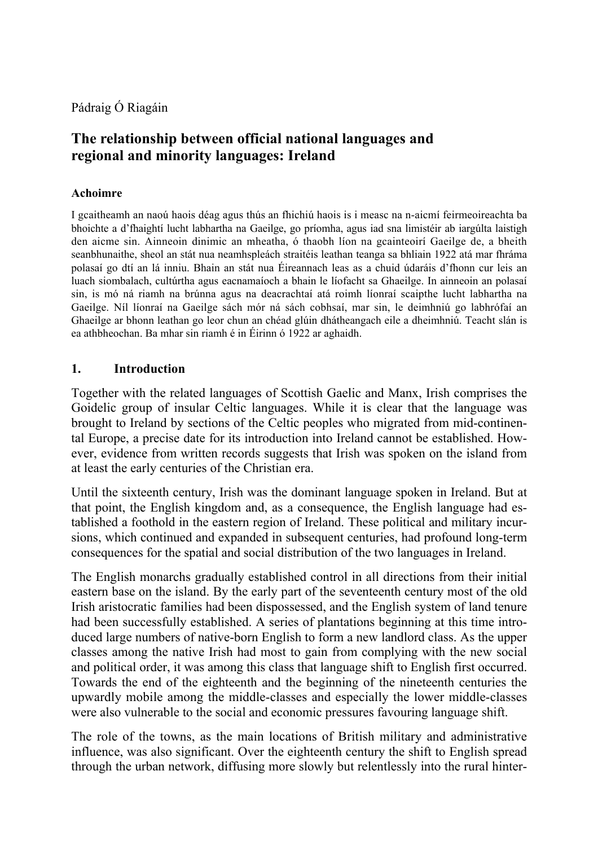Pádraig Ó Riagáin

# **The relationship between official national languages and regional and minority languages: Ireland**

#### **Achoimre**

I gcaitheamh an naoú haois déag agus thús an fhichiú haois is i measc na n-aicmí feirmeoireachta ba bhoichte a d'fhaightí lucht labhartha na Gaeilge, go príomha, agus iad sna limistéir ab iargúlta laistigh den aicme sin. Ainneoin dinimic an mheatha, ó thaobh líon na gcainteoirí Gaeilge de, a bheith seanbhunaithe, sheol an stát nua neamhspleách straitéis leathan teanga sa bhliain 1922 atá mar fhráma polasaí go dtí an lá inniu. Bhain an stát nua Éireannach leas as a chuid údaráis d'fhonn cur leis an luach siombalach, cultúrtha agus eacnamaíoch a bhain le líofacht sa Ghaeilge. In ainneoin an polasaí sin, is mó ná riamh na brúnna agus na deacrachtaí atá roimh líonraí scaipthe lucht labhartha na Gaeilge. Níl líonraí na Gaeilge sách mór ná sách cobhsaí, mar sin, le deimhniú go labhrófaí an Ghaeilge ar bhonn leathan go leor chun an chéad glúin dhátheangach eile a dheimhniú. Teacht slán is ea athbheochan. Ba mhar sin riamh é in Éirinn ó 1922 ar aghaidh.

### **1. Introduction**

Together with the related languages of Scottish Gaelic and Manx, Irish comprises the Goidelic group of insular Celtic languages. While it is clear that the language was brought to Ireland by sections of the Celtic peoples who migrated from mid-continental Europe, a precise date for its introduction into Ireland cannot be established. However, evidence from written records suggests that Irish was spoken on the island from at least the early centuries of the Christian era.

Until the sixteenth century, Irish was the dominant language spoken in Ireland. But at that point, the English kingdom and, as a consequence, the English language had established a foothold in the eastern region of Ireland. These political and military incursions, which continued and expanded in subsequent centuries, had profound long-term consequences for the spatial and social distribution of the two languages in Ireland.

The English monarchs gradually established control in all directions from their initial eastern base on the island. By the early part of the seventeenth century most of the old Irish aristocratic families had been dispossessed, and the English system of land tenure had been successfully established. A series of plantations beginning at this time introduced large numbers of native-born English to form a new landlord class. As the upper classes among the native Irish had most to gain from complying with the new social and political order, it was among this class that language shift to English first occurred. Towards the end of the eighteenth and the beginning of the nineteenth centuries the upwardly mobile among the middle-classes and especially the lower middle-classes were also vulnerable to the social and economic pressures favouring language shift.

The role of the towns, as the main locations of British military and administrative influence, was also significant. Over the eighteenth century the shift to English spread through the urban network, diffusing more slowly but relentlessly into the rural hinter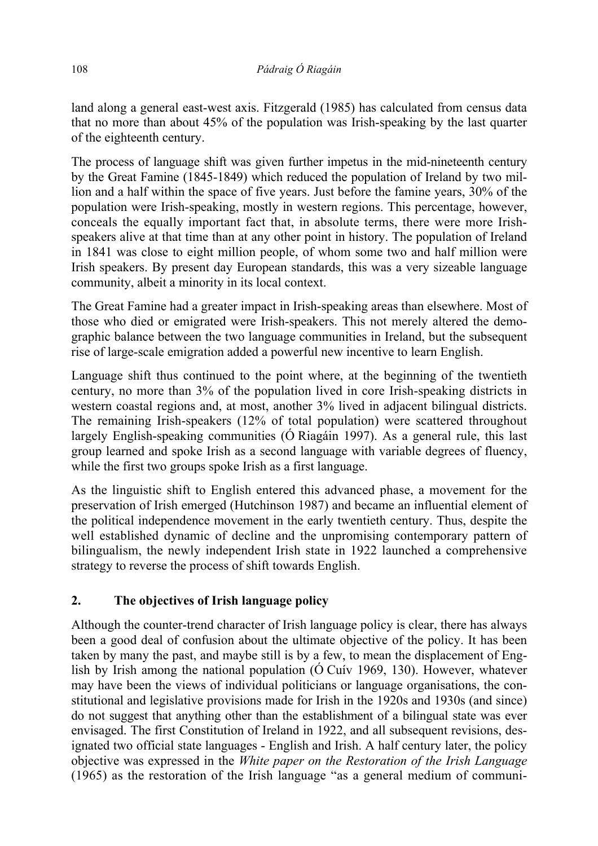land along a general east-west axis. Fitzgerald (1985) has calculated from census data that no more than about 45% of the population was Irish-speaking by the last quarter of the eighteenth century.

The process of language shift was given further impetus in the mid-nineteenth century by the Great Famine (1845-1849) which reduced the population of Ireland by two million and a half within the space of five years. Just before the famine years, 30% of the population were Irish-speaking, mostly in western regions. This percentage, however, conceals the equally important fact that, in absolute terms, there were more Irishspeakers alive at that time than at any other point in history. The population of Ireland in 1841 was close to eight million people, of whom some two and half million were Irish speakers. By present day European standards, this was a very sizeable language community, albeit a minority in its local context.

The Great Famine had a greater impact in Irish-speaking areas than elsewhere. Most of those who died or emigrated were Irish-speakers. This not merely altered the demographic balance between the two language communities in Ireland, but the subsequent rise of large-scale emigration added a powerful new incentive to learn English.

Language shift thus continued to the point where, at the beginning of the twentieth century, no more than 3% of the population lived in core Irish-speaking districts in western coastal regions and, at most, another 3% lived in adjacent bilingual districts. The remaining Irish-speakers (12% of total population) were scattered throughout largely English-speaking communities (Ó Riagáin 1997). As a general rule, this last group learned and spoke Irish as a second language with variable degrees of fluency, while the first two groups spoke Irish as a first language.

As the linguistic shift to English entered this advanced phase, a movement for the preservation of Irish emerged (Hutchinson 1987) and became an influential element of the political independence movement in the early twentieth century. Thus, despite the well established dynamic of decline and the unpromising contemporary pattern of bilingualism, the newly independent Irish state in 1922 launched a comprehensive strategy to reverse the process of shift towards English.

## **2. The objectives of Irish language policy**

Although the counter-trend character of Irish language policy is clear, there has always been a good deal of confusion about the ultimate objective of the policy. It has been taken by many the past, and maybe still is by a few, to mean the displacement of English by Irish among the national population (Ó Cuív 1969, 130). However, whatever may have been the views of individual politicians or language organisations, the constitutional and legislative provisions made for Irish in the 1920s and 1930s (and since) do not suggest that anything other than the establishment of a bilingual state was ever envisaged. The first Constitution of Ireland in 1922, and all subsequent revisions, designated two official state languages - English and Irish. A half century later, the policy objective was expressed in the *White paper on the Restoration of the Irish Language* (1965) as the restoration of the Irish language "as a general medium of communi-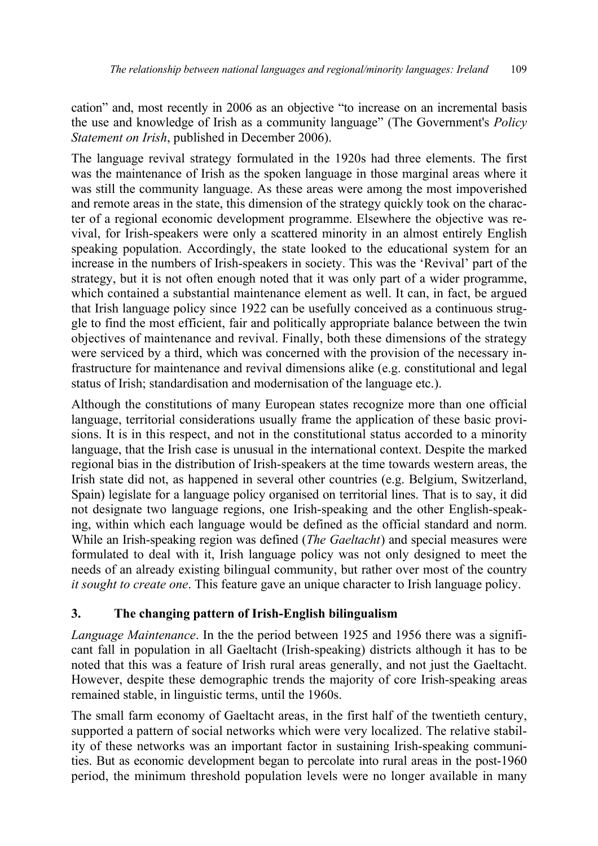cation" and, most recently in 2006 as an objective "to increase on an incremental basis the use and knowledge of Irish as a community language" (The Government's *Policy Statement on Irish*, published in December 2006).

The language revival strategy formulated in the 1920s had three elements. The first was the maintenance of Irish as the spoken language in those marginal areas where it was still the community language. As these areas were among the most impoverished and remote areas in the state, this dimension of the strategy quickly took on the character of a regional economic development programme. Elsewhere the objective was revival, for Irish-speakers were only a scattered minority in an almost entirely English speaking population. Accordingly, the state looked to the educational system for an increase in the numbers of Irish-speakers in society. This was the 'Revival' part of the strategy, but it is not often enough noted that it was only part of a wider programme, which contained a substantial maintenance element as well. It can, in fact, be argued that Irish language policy since 1922 can be usefully conceived as a continuous struggle to find the most efficient, fair and politically appropriate balance between the twin objectives of maintenance and revival. Finally, both these dimensions of the strategy were serviced by a third, which was concerned with the provision of the necessary infrastructure for maintenance and revival dimensions alike (e.g. constitutional and legal status of Irish; standardisation and modernisation of the language etc.).

Although the constitutions of many European states recognize more than one official language, territorial considerations usually frame the application of these basic provisions. It is in this respect, and not in the constitutional status accorded to a minority language, that the Irish case is unusual in the international context. Despite the marked regional bias in the distribution of Irish-speakers at the time towards western areas, the Irish state did not, as happened in several other countries (e.g. Belgium, Switzerland, Spain) legislate for a language policy organised on territorial lines. That is to say, it did not designate two language regions, one Irish-speaking and the other English-speaking, within which each language would be defined as the official standard and norm. While an Irish-speaking region was defined (*The Gaeltacht*) and special measures were formulated to deal with it, Irish language policy was not only designed to meet the needs of an already existing bilingual community, but rather over most of the country *it sought to create one*. This feature gave an unique character to Irish language policy.

## **3. The changing pattern of Irish-English bilingualism**

*Language Maintenance*. In the the period between 1925 and 1956 there was a significant fall in population in all Gaeltacht (Irish-speaking) districts although it has to be noted that this was a feature of Irish rural areas generally, and not just the Gaeltacht. However, despite these demographic trends the majority of core Irish-speaking areas remained stable, in linguistic terms, until the 1960s.

The small farm economy of Gaeltacht areas, in the first half of the twentieth century, supported a pattern of social networks which were very localized. The relative stability of these networks was an important factor in sustaining Irish-speaking communities. But as economic development began to percolate into rural areas in the post-1960 period, the minimum threshold population levels were no longer available in many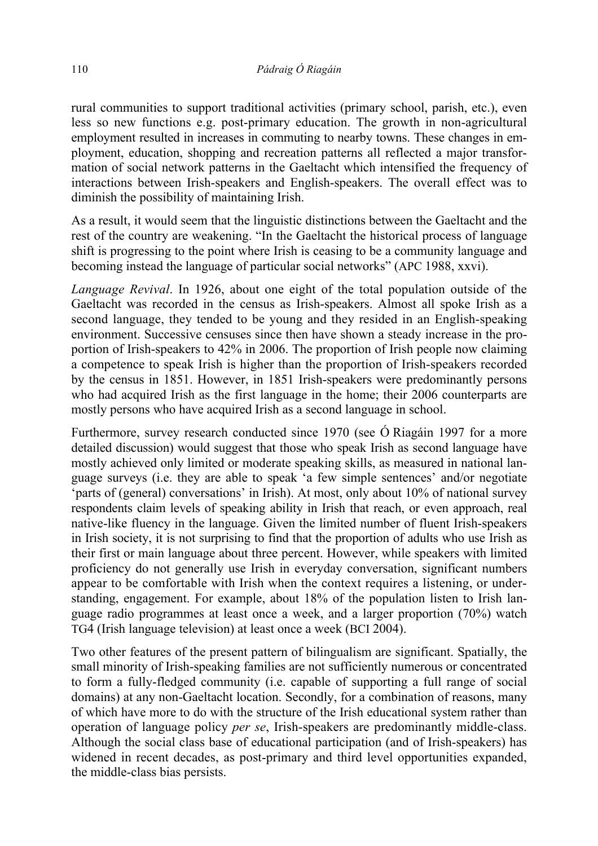rural communities to support traditional activities (primary school, parish, etc.), even less so new functions e.g. post-primary education. The growth in non-agricultural employment resulted in increases in commuting to nearby towns. These changes in employment, education, shopping and recreation patterns all reflected a major transformation of social network patterns in the Gaeltacht which intensified the frequency of interactions between Irish-speakers and English-speakers. The overall effect was to diminish the possibility of maintaining Irish.

As a result, it would seem that the linguistic distinctions between the Gaeltacht and the rest of the country are weakening. "In the Gaeltacht the historical process of language shift is progressing to the point where Irish is ceasing to be a community language and becoming instead the language of particular social networks" (APC 1988, xxvi).

*Language Revival*. In 1926, about one eight of the total population outside of the Gaeltacht was recorded in the census as Irish-speakers. Almost all spoke Irish as a second language, they tended to be young and they resided in an English-speaking environment. Successive censuses since then have shown a steady increase in the proportion of Irish-speakers to 42% in 2006. The proportion of Irish people now claiming a competence to speak Irish is higher than the proportion of Irish-speakers recorded by the census in 1851. However, in 1851 Irish-speakers were predominantly persons who had acquired Irish as the first language in the home; their 2006 counterparts are mostly persons who have acquired Irish as a second language in school.

Furthermore, survey research conducted since 1970 (see Ó Riagáin 1997 for a more detailed discussion) would suggest that those who speak Irish as second language have mostly achieved only limited or moderate speaking skills, as measured in national language surveys (i.e. they are able to speak 'a few simple sentences' and/or negotiate 'parts of (general) conversations' in Irish). At most, only about 10% of national survey respondents claim levels of speaking ability in Irish that reach, or even approach, real native-like fluency in the language. Given the limited number of fluent Irish-speakers in Irish society, it is not surprising to find that the proportion of adults who use Irish as their first or main language about three percent. However, while speakers with limited proficiency do not generally use Irish in everyday conversation, significant numbers appear to be comfortable with Irish when the context requires a listening, or understanding, engagement. For example, about 18% of the population listen to Irish language radio programmes at least once a week, and a larger proportion (70%) watch TG4 (Irish language television) at least once a week (BCI 2004).

Two other features of the present pattern of bilingualism are significant. Spatially, the small minority of Irish-speaking families are not sufficiently numerous or concentrated to form a fully-fledged community (i.e. capable of supporting a full range of social domains) at any non-Gaeltacht location. Secondly, for a combination of reasons, many of which have more to do with the structure of the Irish educational system rather than operation of language policy *per se*, Irish-speakers are predominantly middle-class. Although the social class base of educational participation (and of Irish-speakers) has widened in recent decades, as post-primary and third level opportunities expanded, the middle-class bias persists.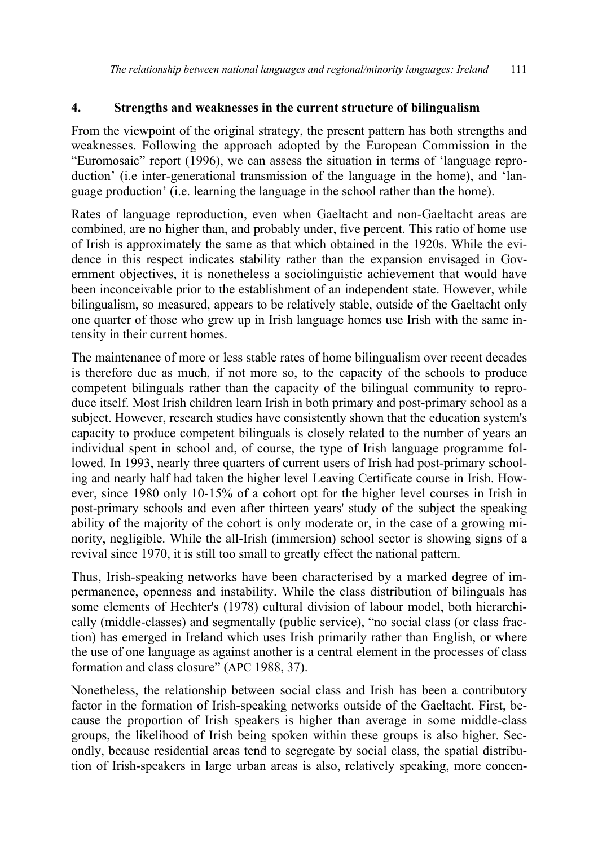#### **4. Strengths and weaknesses in the current structure of bilingualism**

From the viewpoint of the original strategy, the present pattern has both strengths and weaknesses. Following the approach adopted by the European Commission in the "Euromosaic" report (1996), we can assess the situation in terms of 'language reproduction' (i.e inter-generational transmission of the language in the home), and 'language production' (i.e. learning the language in the school rather than the home).

Rates of language reproduction, even when Gaeltacht and non-Gaeltacht areas are combined, are no higher than, and probably under, five percent. This ratio of home use of Irish is approximately the same as that which obtained in the 1920s. While the evidence in this respect indicates stability rather than the expansion envisaged in Government objectives, it is nonetheless a sociolinguistic achievement that would have been inconceivable prior to the establishment of an independent state. However, while bilingualism, so measured, appears to be relatively stable, outside of the Gaeltacht only one quarter of those who grew up in Irish language homes use Irish with the same intensity in their current homes.

The maintenance of more or less stable rates of home bilingualism over recent decades is therefore due as much, if not more so, to the capacity of the schools to produce competent bilinguals rather than the capacity of the bilingual community to reproduce itself. Most Irish children learn Irish in both primary and post-primary school as a subject. However, research studies have consistently shown that the education system's capacity to produce competent bilinguals is closely related to the number of years an individual spent in school and, of course, the type of Irish language programme followed. In 1993, nearly three quarters of current users of Irish had post-primary schooling and nearly half had taken the higher level Leaving Certificate course in Irish. However, since 1980 only 10-15% of a cohort opt for the higher level courses in Irish in post-primary schools and even after thirteen years' study of the subject the speaking ability of the majority of the cohort is only moderate or, in the case of a growing minority, negligible. While the all-Irish (immersion) school sector is showing signs of a revival since 1970, it is still too small to greatly effect the national pattern.

Thus, Irish-speaking networks have been characterised by a marked degree of impermanence, openness and instability. While the class distribution of bilinguals has some elements of Hechter's (1978) cultural division of labour model, both hierarchically (middle-classes) and segmentally (public service), "no social class (or class fraction) has emerged in Ireland which uses Irish primarily rather than English, or where the use of one language as against another is a central element in the processes of class formation and class closure" (APC 1988, 37).

Nonetheless, the relationship between social class and Irish has been a contributory factor in the formation of Irish-speaking networks outside of the Gaeltacht. First, because the proportion of Irish speakers is higher than average in some middle-class groups, the likelihood of Irish being spoken within these groups is also higher. Secondly, because residential areas tend to segregate by social class, the spatial distribution of Irish-speakers in large urban areas is also, relatively speaking, more concen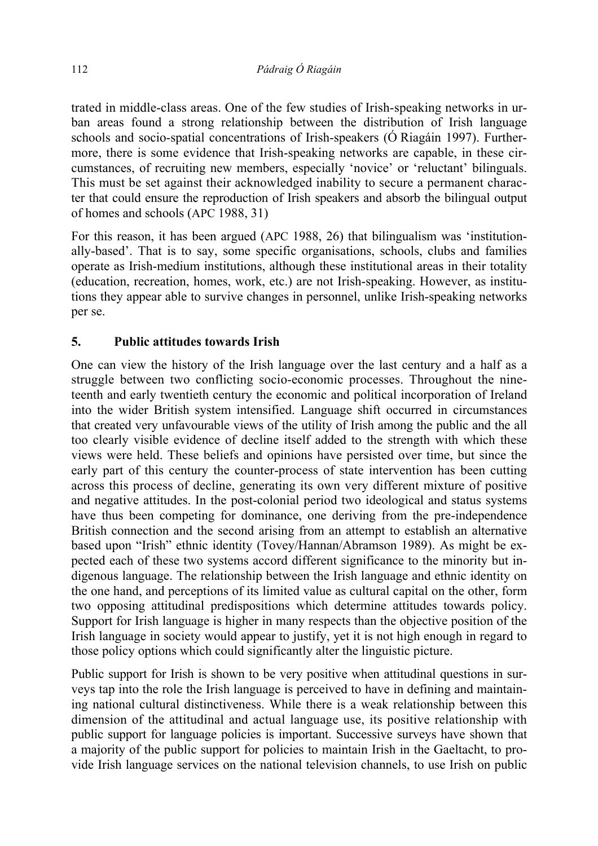trated in middle-class areas. One of the few studies of Irish-speaking networks in urban areas found a strong relationship between the distribution of Irish language schools and socio-spatial concentrations of Irish-speakers (Ó Riagáin 1997). Furthermore, there is some evidence that Irish-speaking networks are capable, in these circumstances, of recruiting new members, especially 'novice' or 'reluctant' bilinguals. This must be set against their acknowledged inability to secure a permanent character that could ensure the reproduction of Irish speakers and absorb the bilingual output of homes and schools (APC 1988, 31)

For this reason, it has been argued (APC 1988, 26) that bilingualism was 'institutionally-based'. That is to say, some specific organisations, schools, clubs and families operate as Irish-medium institutions, although these institutional areas in their totality (education, recreation, homes, work, etc.) are not Irish-speaking. However, as institutions they appear able to survive changes in personnel, unlike Irish-speaking networks per se.

## **5. Public attitudes towards Irish**

One can view the history of the Irish language over the last century and a half as a struggle between two conflicting socio-economic processes. Throughout the nineteenth and early twentieth century the economic and political incorporation of Ireland into the wider British system intensified. Language shift occurred in circumstances that created very unfavourable views of the utility of Irish among the public and the all too clearly visible evidence of decline itself added to the strength with which these views were held. These beliefs and opinions have persisted over time, but since the early part of this century the counter-process of state intervention has been cutting across this process of decline, generating its own very different mixture of positive and negative attitudes. In the post-colonial period two ideological and status systems have thus been competing for dominance, one deriving from the pre-independence British connection and the second arising from an attempt to establish an alternative based upon "Irish" ethnic identity (Tovey/Hannan/Abramson 1989). As might be expected each of these two systems accord different significance to the minority but indigenous language. The relationship between the Irish language and ethnic identity on the one hand, and perceptions of its limited value as cultural capital on the other, form two opposing attitudinal predispositions which determine attitudes towards policy. Support for Irish language is higher in many respects than the objective position of the Irish language in society would appear to justify, yet it is not high enough in regard to those policy options which could significantly alter the linguistic picture.

Public support for Irish is shown to be very positive when attitudinal questions in surveys tap into the role the Irish language is perceived to have in defining and maintaining national cultural distinctiveness. While there is a weak relationship between this dimension of the attitudinal and actual language use, its positive relationship with public support for language policies is important. Successive surveys have shown that a majority of the public support for policies to maintain Irish in the Gaeltacht, to provide Irish language services on the national television channels, to use Irish on public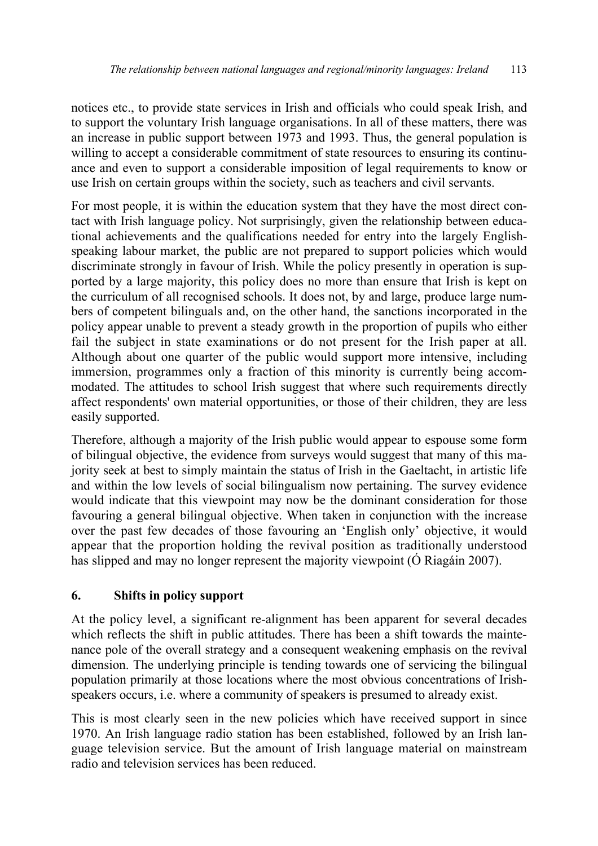notices etc., to provide state services in Irish and officials who could speak Irish, and to support the voluntary Irish language organisations. In all of these matters, there was an increase in public support between 1973 and 1993. Thus, the general population is willing to accept a considerable commitment of state resources to ensuring its continuance and even to support a considerable imposition of legal requirements to know or use Irish on certain groups within the society, such as teachers and civil servants.

For most people, it is within the education system that they have the most direct contact with Irish language policy. Not surprisingly, given the relationship between educational achievements and the qualifications needed for entry into the largely Englishspeaking labour market, the public are not prepared to support policies which would discriminate strongly in favour of Irish. While the policy presently in operation is supported by a large majority, this policy does no more than ensure that Irish is kept on the curriculum of all recognised schools. It does not, by and large, produce large numbers of competent bilinguals and, on the other hand, the sanctions incorporated in the policy appear unable to prevent a steady growth in the proportion of pupils who either fail the subject in state examinations or do not present for the Irish paper at all. Although about one quarter of the public would support more intensive, including immersion, programmes only a fraction of this minority is currently being accommodated. The attitudes to school Irish suggest that where such requirements directly affect respondents' own material opportunities, or those of their children, they are less easily supported.

Therefore, although a majority of the Irish public would appear to espouse some form of bilingual objective, the evidence from surveys would suggest that many of this majority seek at best to simply maintain the status of Irish in the Gaeltacht, in artistic life and within the low levels of social bilingualism now pertaining. The survey evidence would indicate that this viewpoint may now be the dominant consideration for those favouring a general bilingual objective. When taken in conjunction with the increase over the past few decades of those favouring an 'English only' objective, it would appear that the proportion holding the revival position as traditionally understood has slipped and may no longer represent the majority viewpoint (Ó Riagáin 2007).

## **6. Shifts in policy support**

At the policy level, a significant re-alignment has been apparent for several decades which reflects the shift in public attitudes. There has been a shift towards the maintenance pole of the overall strategy and a consequent weakening emphasis on the revival dimension. The underlying principle is tending towards one of servicing the bilingual population primarily at those locations where the most obvious concentrations of Irishspeakers occurs, i.e. where a community of speakers is presumed to already exist.

This is most clearly seen in the new policies which have received support in since 1970. An Irish language radio station has been established, followed by an Irish language television service. But the amount of Irish language material on mainstream radio and television services has been reduced.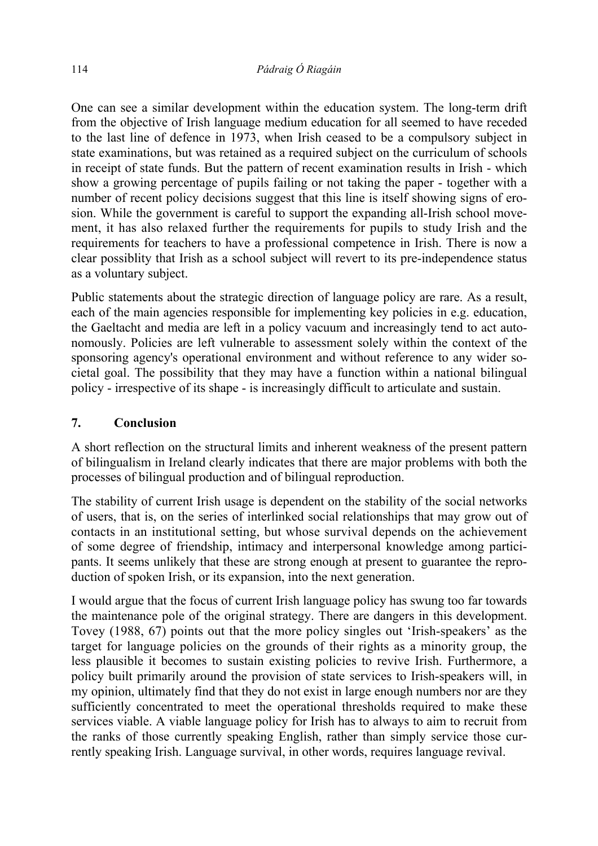One can see a similar development within the education system. The long-term drift from the objective of Irish language medium education for all seemed to have receded to the last line of defence in 1973, when Irish ceased to be a compulsory subject in state examinations, but was retained as a required subject on the curriculum of schools in receipt of state funds. But the pattern of recent examination results in Irish - which show a growing percentage of pupils failing or not taking the paper - together with a number of recent policy decisions suggest that this line is itself showing signs of erosion. While the government is careful to support the expanding all-Irish school movement, it has also relaxed further the requirements for pupils to study Irish and the requirements for teachers to have a professional competence in Irish. There is now a clear possiblity that Irish as a school subject will revert to its pre-independence status as a voluntary subject.

Public statements about the strategic direction of language policy are rare. As a result, each of the main agencies responsible for implementing key policies in e.g. education, the Gaeltacht and media are left in a policy vacuum and increasingly tend to act autonomously. Policies are left vulnerable to assessment solely within the context of the sponsoring agency's operational environment and without reference to any wider societal goal. The possibility that they may have a function within a national bilingual policy - irrespective of its shape - is increasingly difficult to articulate and sustain.

#### **7. Conclusion**

A short reflection on the structural limits and inherent weakness of the present pattern of bilingualism in Ireland clearly indicates that there are major problems with both the processes of bilingual production and of bilingual reproduction.

The stability of current Irish usage is dependent on the stability of the social networks of users, that is, on the series of interlinked social relationships that may grow out of contacts in an institutional setting, but whose survival depends on the achievement of some degree of friendship, intimacy and interpersonal knowledge among participants. It seems unlikely that these are strong enough at present to guarantee the reproduction of spoken Irish, or its expansion, into the next generation.

I would argue that the focus of current Irish language policy has swung too far towards the maintenance pole of the original strategy. There are dangers in this development. Tovey (1988, 67) points out that the more policy singles out 'Irish-speakers' as the target for language policies on the grounds of their rights as a minority group, the less plausible it becomes to sustain existing policies to revive Irish. Furthermore, a policy built primarily around the provision of state services to Irish-speakers will, in my opinion, ultimately find that they do not exist in large enough numbers nor are they sufficiently concentrated to meet the operational thresholds required to make these services viable. A viable language policy for Irish has to always to aim to recruit from the ranks of those currently speaking English, rather than simply service those currently speaking Irish. Language survival, in other words, requires language revival.